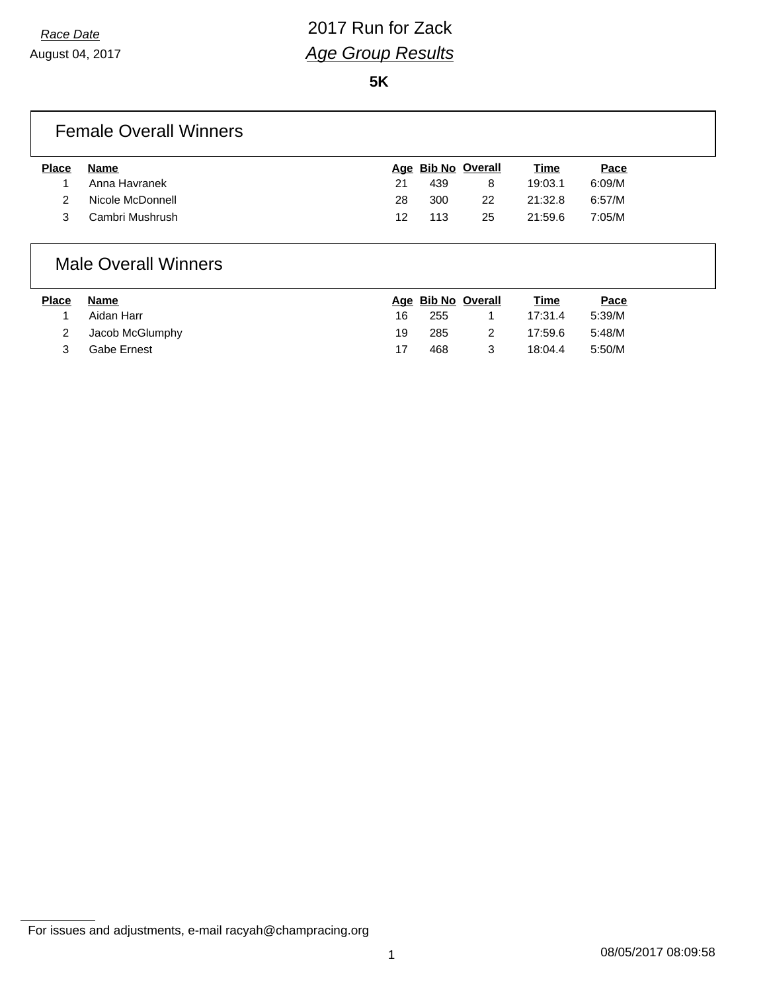**5K**

#### Female Overall Winners

| <b>Place</b> | Name             |    | Age Bib No Overall |    | Time    | Pace   |
|--------------|------------------|----|--------------------|----|---------|--------|
|              | Anna Havranek    | 21 | 439                |    | 19:03.1 | 6:09/M |
|              | Nicole McDonnell | 28 | 300                | 22 | 21:32.8 | 6:57/M |
|              | Cambri Mushrush  | 12 | 113                | 25 | 21:59.6 | 7:05/M |

#### Male Overall Winners

| <b>Place</b> | Name            |    | Age Bib No Overall | <u>Time</u> | <u>Pace</u> |
|--------------|-----------------|----|--------------------|-------------|-------------|
|              | Aidan Harr      | 16 | 255                | 17:31.4     | 5:39/M      |
|              | Jacob McGlumphy | 19 | 285                | 17:59.6     | 5:48/M      |
|              | Gabe Ernest     |    | 468                | 18:04.4     | 5:50/M      |

For issues and adjustments, e-mail racyah@champracing.org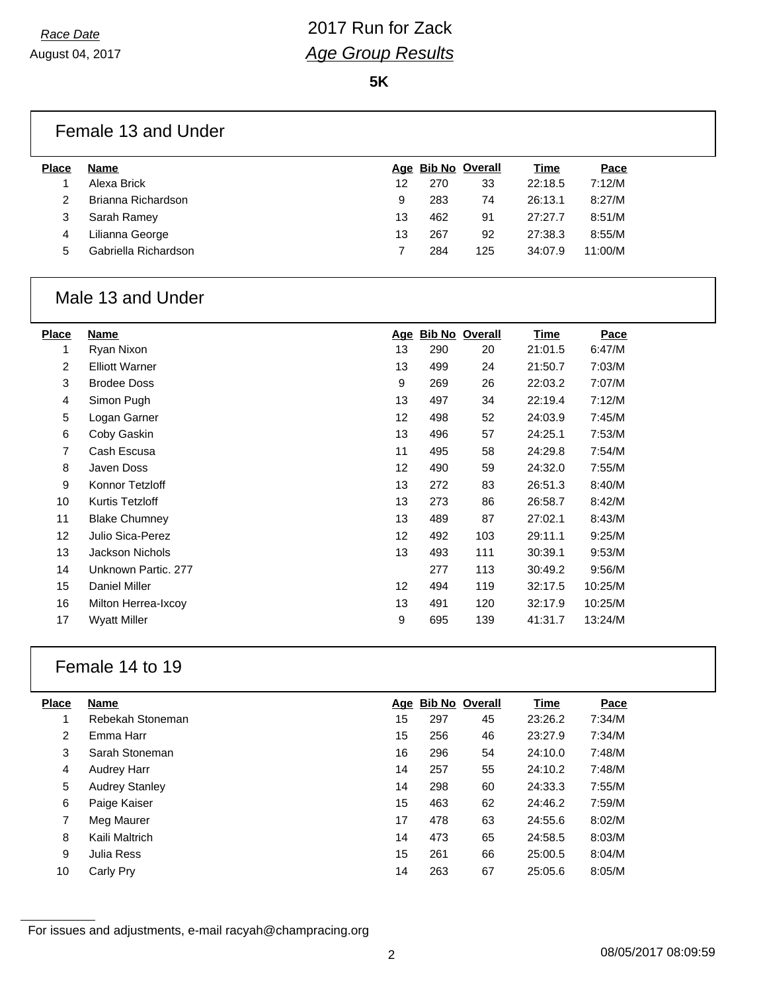**5K**

### Female 13 and Under

| <b>Place</b> | <b>Name</b>          |    |     | Age Bib No Overall | <b>Time</b> | Pace    |  |
|--------------|----------------------|----|-----|--------------------|-------------|---------|--|
|              | Alexa Brick          | 12 | 270 | 33                 | 22:18.5     | 7:12/M  |  |
|              | Brianna Richardson   | 9  | 283 | 74                 | 26:13.1     | 8:27/M  |  |
|              | Sarah Ramey          | 13 | 462 | 91                 | 27:27.7     | 8:51/M  |  |
| 4            | Lilianna George      | 13 | 267 | 92                 | 27:38.3     | 8:55/M  |  |
| 5            | Gabriella Richardson |    | 284 | 125                | 34:07.9     | 11:00/M |  |
|              |                      |    |     |                    |             |         |  |

#### Male 13 and Under

| Place | Name                  | Age |     | <b>Bib No Overall</b> | <u>Time</u> | Pace    |
|-------|-----------------------|-----|-----|-----------------------|-------------|---------|
|       | Ryan Nixon            | 13  | 290 | 20                    | 21:01.5     | 6:47/M  |
| 2     | <b>Elliott Warner</b> | 13  | 499 | 24                    | 21:50.7     | 7:03/M  |
| 3     | <b>Brodee Doss</b>    | 9   | 269 | 26                    | 22:03.2     | 7:07/M  |
| 4     | Simon Pugh            | 13  | 497 | 34                    | 22:19.4     | 7:12/M  |
| 5     | Logan Garner          | 12  | 498 | 52                    | 24:03.9     | 7:45/M  |
| 6     | Coby Gaskin           | 13  | 496 | 57                    | 24:25.1     | 7:53/M  |
| 7     | Cash Escusa           | 11  | 495 | 58                    | 24:29.8     | 7:54/M  |
| 8     | Javen Doss            | 12  | 490 | 59                    | 24:32.0     | 7:55/M  |
| 9     | Konnor Tetzloff       | 13  | 272 | 83                    | 26:51.3     | 8:40/M  |
| 10    | Kurtis Tetzloff       | 13  | 273 | 86                    | 26:58.7     | 8:42/M  |
| 11    | <b>Blake Chumney</b>  | 13  | 489 | 87                    | 27:02.1     | 8:43/M  |
| 12    | Julio Sica-Perez      | 12  | 492 | 103                   | 29:11.1     | 9:25/M  |
| 13    | Jackson Nichols       | 13  | 493 | 111                   | 30:39.1     | 9:53/M  |
| 14    | Unknown Partic, 277   |     | 277 | 113                   | 30:49.2     | 9:56/M  |
| 15    | Daniel Miller         | 12  | 494 | 119                   | 32:17.5     | 10:25/M |
| 16    | Milton Herrea-Ixcoy   | 13  | 491 | 120                   | 32:17.9     | 10:25/M |
| 17    | Wyatt Miller          | 9   | 695 | 139                   | 41:31.7     | 13:24/M |
|       |                       |     |     |                       |             |         |

### Female 14 to 19

| <b>Name</b>           |    |     |    | Time               | Pace   |
|-----------------------|----|-----|----|--------------------|--------|
| Rebekah Stoneman      | 15 | 297 | 45 | 23:26.2            | 7:34/M |
| Emma Harr             | 15 | 256 | 46 | 23:27.9            | 7:34/M |
| Sarah Stoneman        | 16 | 296 | 54 | 24:10.0            | 7:48/M |
| <b>Audrey Harr</b>    | 14 | 257 | 55 | 24:10.2            | 7:48/M |
| <b>Audrey Stanley</b> | 14 | 298 | 60 | 24:33.3            | 7:55/M |
| Paige Kaiser          | 15 | 463 | 62 | 24:46.2            | 7:59/M |
| Meg Maurer            | 17 | 478 | 63 | 24:55.6            | 8:02/M |
| Kaili Maltrich        | 14 | 473 | 65 | 24:58.5            | 8:03/M |
| Julia Ress            | 15 | 261 | 66 | 25:00.5            | 8:04/M |
| Carly Pry             | 14 | 263 | 67 | 25:05.6            | 8:05/M |
|                       |    |     |    | Age Bib No Overall |        |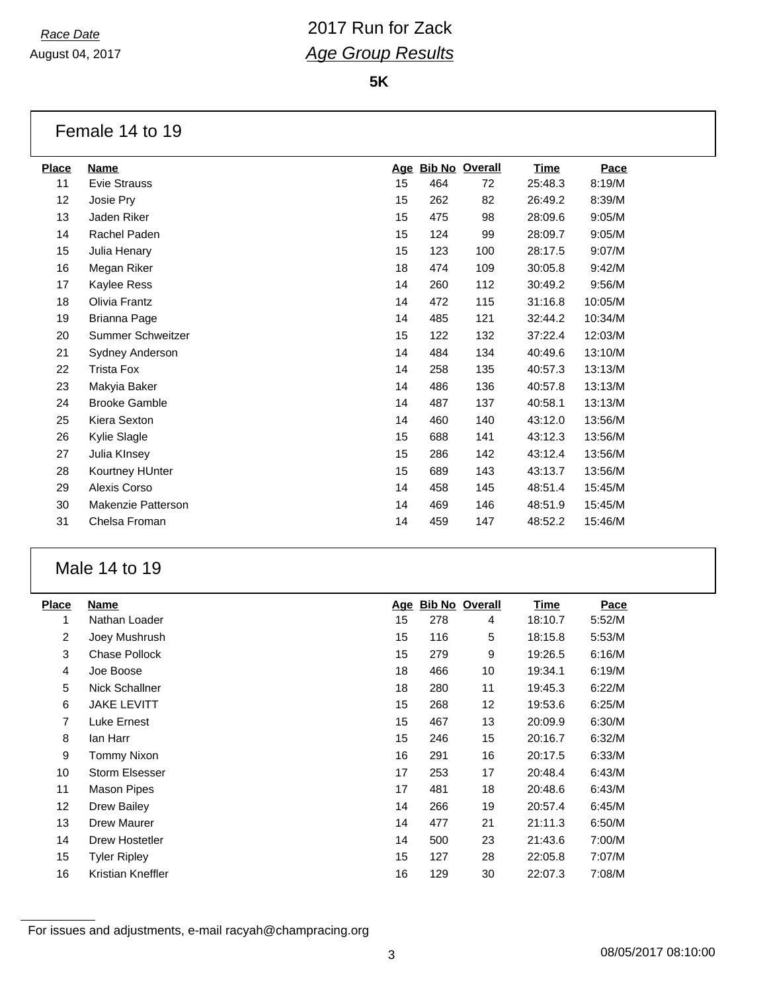August 04, 2017

**5K**

#### Female 14 to 19

| <b>Place</b> | <b>Name</b>          | Age |     | <b>Bib No Overall</b> | <b>Time</b> | Pace    |
|--------------|----------------------|-----|-----|-----------------------|-------------|---------|
| 11           | <b>Evie Strauss</b>  | 15  | 464 | 72                    | 25:48.3     | 8:19/M  |
| 12           | Josie Pry            | 15  | 262 | 82                    | 26:49.2     | 8:39/M  |
| 13           | Jaden Riker          | 15  | 475 | 98                    | 28:09.6     | 9:05/M  |
| 14           | Rachel Paden         | 15  | 124 | 99                    | 28:09.7     | 9:05/M  |
| 15           | Julia Henary         | 15  | 123 | 100                   | 28:17.5     | 9:07/M  |
| 16           | Megan Riker          | 18  | 474 | 109                   | 30:05.8     | 9:42/M  |
| 17           | Kaylee Ress          | 14  | 260 | 112                   | 30:49.2     | 9:56/M  |
| 18           | Olivia Frantz        | 14  | 472 | 115                   | 31:16.8     | 10:05/M |
| 19           | Brianna Page         | 14  | 485 | 121                   | 32:44.2     | 10:34/M |
| 20           | Summer Schweitzer    | 15  | 122 | 132                   | 37:22.4     | 12:03/M |
| 21           | Sydney Anderson      | 14  | 484 | 134                   | 40:49.6     | 13:10/M |
| 22           | Trista Fox           | 14  | 258 | 135                   | 40:57.3     | 13:13/M |
| 23           | Makyia Baker         | 14  | 486 | 136                   | 40:57.8     | 13:13/M |
| 24           | <b>Brooke Gamble</b> | 14  | 487 | 137                   | 40:58.1     | 13:13/M |
| 25           | Kiera Sexton         | 14  | 460 | 140                   | 43:12.0     | 13:56/M |
| 26           | Kylie Slagle         | 15  | 688 | 141                   | 43:12.3     | 13:56/M |
| 27           | Julia Klnsey         | 15  | 286 | 142                   | 43:12.4     | 13:56/M |
| 28           | Kourtney HUnter      | 15  | 689 | 143                   | 43:13.7     | 13:56/M |
| 29           | Alexis Corso         | 14  | 458 | 145                   | 48:51.4     | 15:45/M |
| 30           | Makenzie Patterson   | 14  | 469 | 146                   | 48:51.9     | 15:45/M |
| 31           | Chelsa Froman        | 14  | 459 | 147                   | 48:52.2     | 15:46/M |
|              |                      |     |     |                       |             |         |

### Male 14 to 19

| <b>Place</b>    | <b>Name</b>           | <u>Age</u> |     | <b>Bib No Overall</b> | <u>Time</u> | Pace   |
|-----------------|-----------------------|------------|-----|-----------------------|-------------|--------|
| 1               | Nathan Loader         | 15         | 278 | 4                     | 18:10.7     | 5:52/M |
| $\overline{2}$  | Joey Mushrush         | 15         | 116 | 5                     | 18:15.8     | 5:53/M |
| 3               | Chase Pollock         | 15         | 279 | 9                     | 19:26.5     | 6:16/M |
| $\overline{4}$  | Joe Boose             | 18         | 466 | 10                    | 19:34.1     | 6:19/M |
| 5               | Nick Schallner        | 18         | 280 | 11                    | 19:45.3     | 6:22/M |
| 6               | <b>JAKE LEVITT</b>    | 15         | 268 | 12                    | 19:53.6     | 6:25/M |
| 7               | Luke Ernest           | 15         | 467 | 13                    | 20:09.9     | 6:30/M |
| 8               | lan Harr              | 15         | 246 | 15                    | 20:16.7     | 6:32/M |
| 9               | Tommy Nixon           | 16         | 291 | 16                    | 20:17.5     | 6:33/M |
| 10              | <b>Storm Elsesser</b> | 17         | 253 | 17                    | 20:48.4     | 6:43/M |
| 11              | Mason Pipes           | 17         | 481 | 18                    | 20:48.6     | 6:43/M |
| 12 <sup>2</sup> | Drew Bailey           | 14         | 266 | 19                    | 20:57.4     | 6:45/M |
| 13              | Drew Maurer           | 14         | 477 | 21                    | 21:11.3     | 6:50/M |
| 14              | Drew Hostetler        | 14         | 500 | 23                    | 21:43.6     | 7:00/M |
| 15              | <b>Tyler Ripley</b>   | 15         | 127 | 28                    | 22:05.8     | 7:07/M |
| 16              | Kristian Kneffler     | 16         | 129 | 30                    | 22:07.3     | 7:08/M |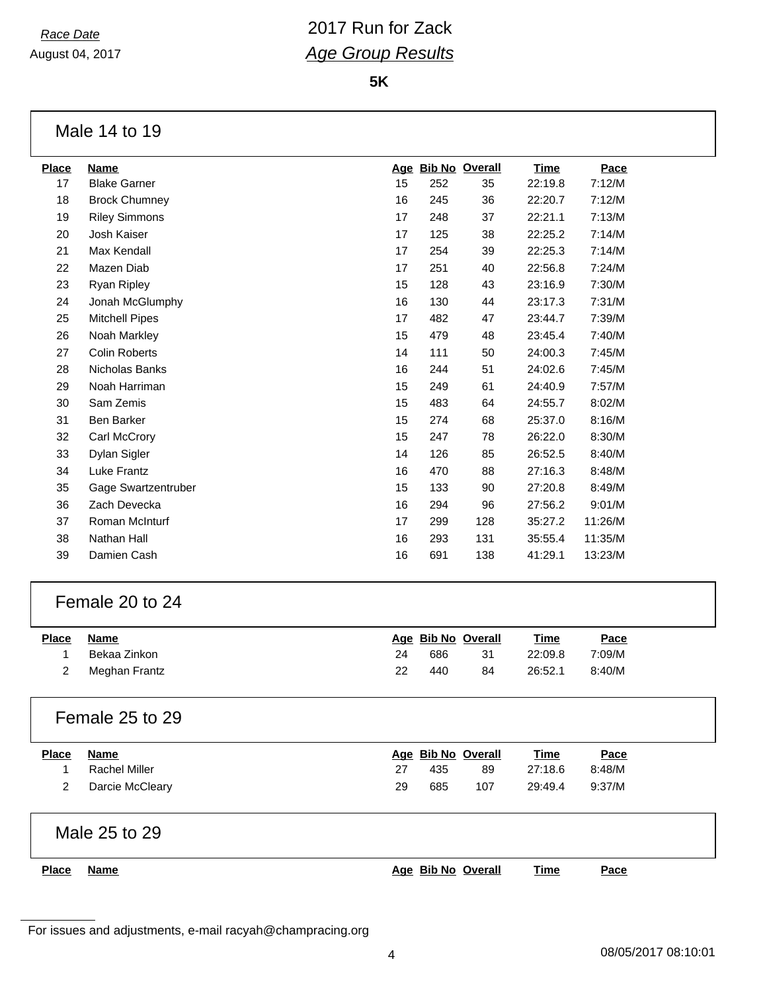August 04, 2017

**5K**

#### Male 14 to 19

| <b>Place</b> | <b>Name</b>           | <u>Age</u> |     | <b>Bib No Overall</b> | <b>Time</b> | Pace    |
|--------------|-----------------------|------------|-----|-----------------------|-------------|---------|
| 17           | <b>Blake Garner</b>   | 15         | 252 | 35                    | 22:19.8     | 7:12/M  |
| 18           | <b>Brock Chumney</b>  | 16         | 245 | 36                    | 22:20.7     | 7:12/M  |
| 19           | <b>Riley Simmons</b>  | 17         | 248 | 37                    | 22:21.1     | 7:13/M  |
| 20           | Josh Kaiser           | 17         | 125 | 38                    | 22:25.2     | 7:14/M  |
| 21           | Max Kendall           | 17         | 254 | 39                    | 22:25.3     | 7:14/M  |
| 22           | Mazen Diab            | 17         | 251 | 40                    | 22:56.8     | 7:24/M  |
| 23           | Ryan Ripley           | 15         | 128 | 43                    | 23:16.9     | 7:30/M  |
| 24           | Jonah McGlumphy       | 16         | 130 | 44                    | 23:17.3     | 7:31/M  |
| 25           | <b>Mitchell Pipes</b> | 17         | 482 | 47                    | 23:44.7     | 7:39/M  |
| 26           | Noah Markley          | 15         | 479 | 48                    | 23:45.4     | 7:40/M  |
| 27           | <b>Colin Roberts</b>  | 14         | 111 | 50                    | 24:00.3     | 7:45/M  |
| 28           | Nicholas Banks        | 16         | 244 | 51                    | 24:02.6     | 7:45/M  |
| 29           | Noah Harriman         | 15         | 249 | 61                    | 24:40.9     | 7:57/M  |
| 30           | Sam Zemis             | 15         | 483 | 64                    | 24:55.7     | 8:02/M  |
| 31           | <b>Ben Barker</b>     | 15         | 274 | 68                    | 25:37.0     | 8:16/M  |
| 32           | Carl McCrory          | 15         | 247 | 78                    | 26:22.0     | 8:30/M  |
| 33           | Dylan Sigler          | 14         | 126 | 85                    | 26:52.5     | 8:40/M  |
| 34           | Luke Frantz           | 16         | 470 | 88                    | 27:16.3     | 8:48/M  |
| 35           | Gage Swartzentruber   | 15         | 133 | 90                    | 27:20.8     | 8:49/M  |
| 36           | Zach Devecka          | 16         | 294 | 96                    | 27:56.2     | 9:01/M  |
| 37           | Roman McInturf        | 17         | 299 | 128                   | 35:27.2     | 11:26/M |
| 38           | Nathan Hall           | 16         | 293 | 131                   | 35:55.4     | 11:35/M |
| 39           | Damien Cash           | 16         | 691 | 138                   | 41:29.1     | 13:23/M |
|              |                       |            |     |                       |             |         |

#### Female 20 to 24

| <b>Place</b> | Name            |    |     | Age Bib No Overall | <u>Time</u> | <u>Pace</u> |
|--------------|-----------------|----|-----|--------------------|-------------|-------------|
|              | Bekaa Zinkon    | 24 | 686 | 31                 | 22:09.8     | 7:09/M      |
|              | 2 Meghan Frantz | 22 | 440 | 84                 | 26:52.1     | 8:40/M      |

| <b>Place</b> | Name                 |    | Age Bib No Overall |     | <b>Time</b> | Pace   |  |
|--------------|----------------------|----|--------------------|-----|-------------|--------|--|
|              | <b>Rachel Miller</b> | 27 | 435                | 89  | 27:18.6     | 8:48/M |  |
| 2            | Darcie McCleary      | 29 | 685                | 107 | 29:49.4     | 9:37/M |  |

| Place | Name |
|-------|------|
|-------|------|

**Place Name Age Bib No Overall Time Pace**

For issues and adjustments, e-mail racyah@champracing.org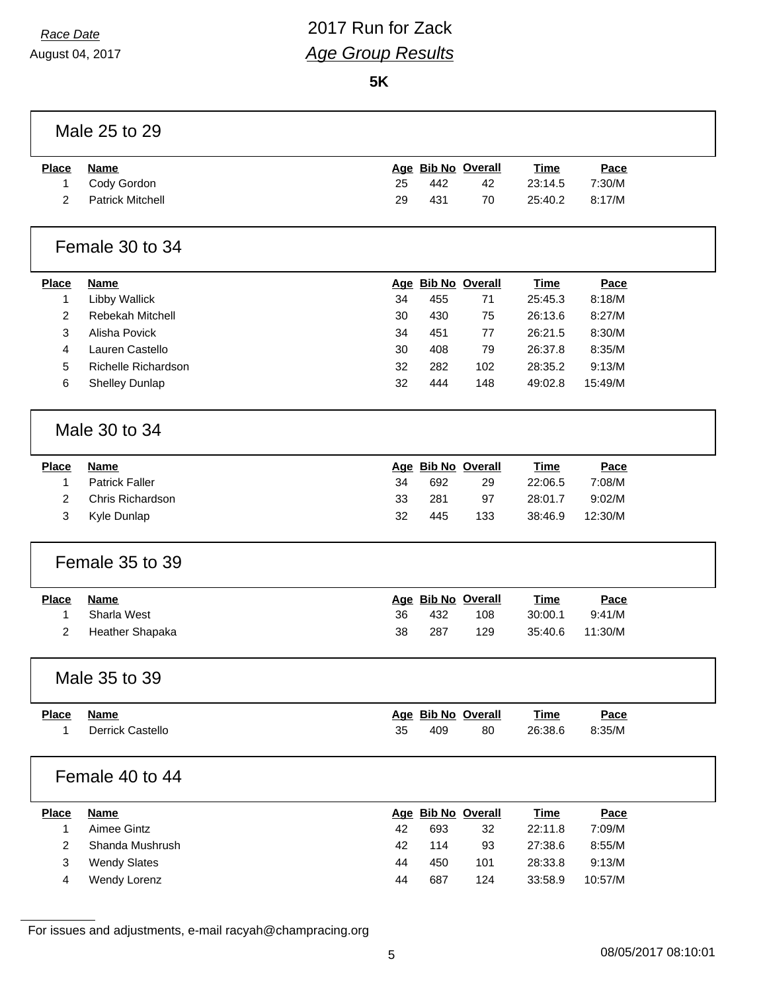August 04, 2017

# *Race Date* 2017 Run for Zack *Age Group Results*

**5K**

|                | Male 25 to 29           |    |     |                    |             |         |  |
|----------------|-------------------------|----|-----|--------------------|-------------|---------|--|
| <b>Place</b>   | <b>Name</b>             |    |     | Age Bib No Overall | <b>Time</b> | Pace    |  |
| 1              | Cody Gordon             | 25 | 442 | 42                 | 23:14.5     | 7:30/M  |  |
| $\overline{2}$ | <b>Patrick Mitchell</b> | 29 | 431 | 70                 | 25:40.2     | 8:17/M  |  |
|                | Female 30 to 34         |    |     |                    |             |         |  |
| <b>Place</b>   | <b>Name</b>             |    |     | Age Bib No Overall | <b>Time</b> | Pace    |  |
| $\mathbf{1}$   | Libby Wallick           | 34 | 455 | 71                 | 25:45.3     | 8:18/M  |  |
| 2              | Rebekah Mitchell        | 30 | 430 | 75                 | 26:13.6     | 8:27/M  |  |
| 3              | Alisha Povick           | 34 | 451 | 77                 | 26:21.5     | 8:30/M  |  |
| 4              | Lauren Castello         | 30 | 408 | 79                 | 26:37.8     | 8:35/M  |  |
| 5              | Richelle Richardson     | 32 | 282 | 102                | 28:35.2     | 9:13/M  |  |
| 6              | Shelley Dunlap          | 32 | 444 | 148                | 49:02.8     | 15:49/M |  |
|                | Male 30 to 34           |    |     |                    |             |         |  |
| <b>Place</b>   | <b>Name</b>             |    |     | Age Bib No Overall | <b>Time</b> | Pace    |  |
| 1              | <b>Patrick Faller</b>   | 34 | 692 | 29                 | 22:06.5     | 7:08/M  |  |
| 2              | Chris Richardson        | 33 | 281 | 97                 | 28:01.7     | 9:02/M  |  |
| 3              | Kyle Dunlap             | 32 | 445 | 133                | 38:46.9     | 12:30/M |  |
|                | Female 35 to 39         |    |     |                    |             |         |  |
| <b>Place</b>   | <b>Name</b>             |    |     | Age Bib No Overall | <b>Time</b> | Pace    |  |
| $\mathbf{1}$   | Sharla West             | 36 | 432 | 108                | 30:00.1     | 9:41/M  |  |
| 2              | Heather Shapaka         | 38 | 287 | 129                | 35:40.6     | 11:30/M |  |
|                | Male 35 to 39           |    |     |                    |             |         |  |
| <b>Place</b>   | <b>Name</b>             |    |     | Age Bib No Overall | <b>Time</b> | Pace    |  |
| 1              | Derrick Castello        | 35 | 409 | 80                 | 26:38.6     | 8:35/M  |  |
|                | Female 40 to 44         |    |     |                    |             |         |  |
| <b>Place</b>   | <b>Name</b>             |    |     | Age Bib No Overall | <b>Time</b> | Pace    |  |
| 1              | Aimee Gintz             | 42 | 693 | 32                 | 22:11.8     | 7:09/M  |  |
| 2              | Shanda Mushrush         | 42 | 114 | 93                 | 27:38.6     | 8:55/M  |  |
| 3              | <b>Wendy Slates</b>     | 44 | 450 | 101                | 28:33.8     | 9:13/M  |  |
| 4              | Wendy Lorenz            | 44 | 687 | 124                | 33:58.9     | 10:57/M |  |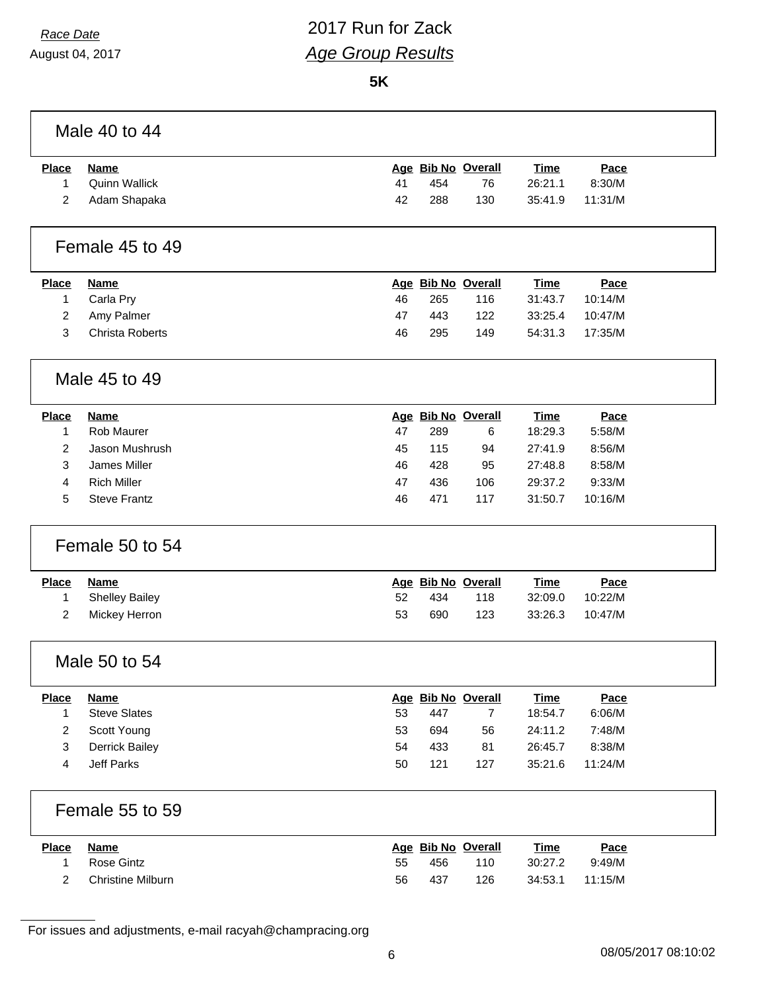August 04, 2017

### *Race Date* 2017 Run for Zack *Age Group Results*

**5K**

| Place | Name          |    | Age Bib No Overall |     | <u>Time</u> | <u>Pace</u> |
|-------|---------------|----|--------------------|-----|-------------|-------------|
|       | Quinn Wallick |    | 454                | 76  | 26:21.1     | 8:30/M      |
|       | Adam Shapaka  | 42 | 288                | 130 | 35:41.9     | 11:31/M     |

#### Female 45 to 49

| <b>Place</b> | Name            |    |     | Age Bib No Overall | <u>Time</u> | Pace    |
|--------------|-----------------|----|-----|--------------------|-------------|---------|
|              | Carla Pry       | 46 | 265 | 116                | 31:43.7     | 10:14/M |
|              | 2 Amy Palmer    | 47 | 443 | 122                | 33:25.4     | 10:47/M |
|              | Christa Roberts | 46 | 295 | 149                | 54:31.3     | 17:35/M |

#### Male 45 to 49

| <b>Place</b> | <b>Name</b>         |    |     | Age Bib No Overall | <u>Time</u> | Pace    |  |
|--------------|---------------------|----|-----|--------------------|-------------|---------|--|
|              | Rob Maurer          | 47 | 289 | 6                  | 18:29.3     | 5:58/M  |  |
|              | Jason Mushrush      | 45 | 115 | 94                 | 27:41.9     | 8:56/M  |  |
| 3            | James Miller        | 46 | 428 | 95                 | 27:48.8     | 8:58/M  |  |
|              | <b>Rich Miller</b>  | 47 | 436 | 106                | 29:37.2     | 9:33/M  |  |
| 5            | <b>Steve Frantz</b> | 46 | 471 | 117                | 31:50.7     | 10:16/M |  |
|              |                     |    |     |                    |             |         |  |

#### Female 50 to 54

| <u>Place</u> | Name           |     | Age Bib No Overall |     | <b>Time</b> | <u>Pace</u> |
|--------------|----------------|-----|--------------------|-----|-------------|-------------|
|              | Shelley Bailey | 52. | 434                | 118 | 32:09.0     | 10:22/M     |
|              | Mickey Herron  | 53  | 690                | 123 | 33:26.3     | 10:47/M     |

#### Male 50 to 54

| <b>Place</b> | <b>Name</b>         |    |     | Age Bib No Overall | <u>Time</u> | Pace    |
|--------------|---------------------|----|-----|--------------------|-------------|---------|
|              | <b>Steve Slates</b> | 53 | 447 |                    | 18:54.7     | 6:06/M  |
|              | Scott Young         | 53 | 694 | 56                 | 24:11.2     | 7:48/M  |
| 3            | Derrick Bailey      | 54 | 433 | 81                 | 26:45.7     | 8:38/M  |
|              | Jeff Parks          | 50 | 121 | 127                | 35:21.6     | 11:24/M |

#### Female 55 to 59

| <b>Place</b> | Name              |    | Age Bib No Overall |     | <u>Time</u> | <u>Pace</u> |  |
|--------------|-------------------|----|--------------------|-----|-------------|-------------|--|
|              | Rose Gintz        | 55 | 456                | 110 | 30:27.2     | 9:49/M      |  |
|              | Christine Milburn | 56 | 437                | 126 | 34:53.1     | 11:15/M     |  |